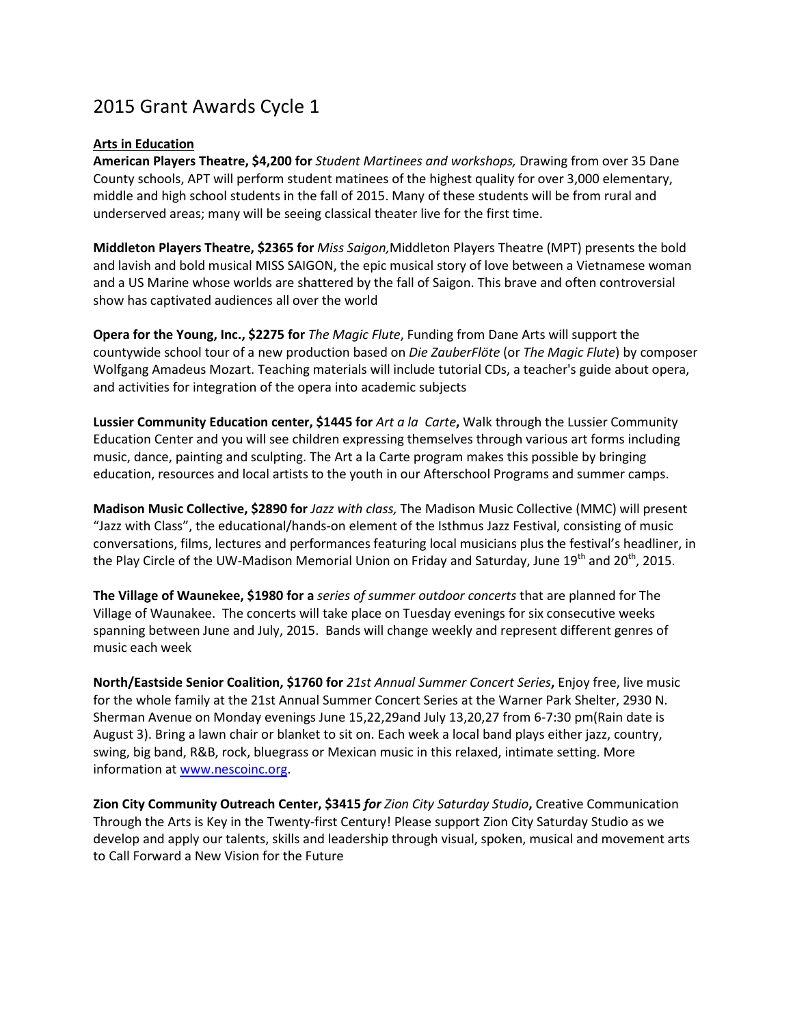# 2015 Grant Awards Cycle 1

# **Arts in Education**

**American Players Theatre, \$4,200 for** *Student Martinees and workshops,* Drawing from over 35 Dane County schools, APT will perform student matinees of the highest quality for over 3,000 elementary, middle and high school students in the fall of 2015. Many of these students will be from rural and underserved areas; many will be seeing classical theater live for the first time.

**Middleton Players Theatre, \$2365 for** *Miss Saigon,*Middleton Players Theatre (MPT) presents the bold and lavish and bold musical MISS SAIGON, the epic musical story of love between a Vietnamese woman and a US Marine whose worlds are shattered by the fall of Saigon. This brave and often controversial show has captivated audiences all over the world

**Opera for the Young, Inc., \$2275 for** *The Magic Flute*, Funding from Dane Arts will support the countywide school tour of a new production based on *Die ZauberFlöte* (or *The Magic Flute*) by composer Wolfgang Amadeus Mozart. Teaching materials will include tutorial CDs, a teacher's guide about opera, and activities for integration of the opera into academic subjects

**Lussier Community Education center, \$1445 for** *Art a la Carte***,** Walk through the Lussier Community Education Center and you will see children expressing themselves through various art forms including music, dance, painting and sculpting. The Art a la Carte program makes this possible by bringing education, resources and local artists to the youth in our Afterschool Programs and summer camps.

**Madison Music Collective, \$2890 for** *Jazz with class,* The Madison Music Collective (MMC) will present "Jazz with Class", the educational/hands-on element of the Isthmus Jazz Festival, consisting of music conversations, films, lectures and performances featuring local musicians plus the festival's headliner, in the Play Circle of the UW-Madison Memorial Union on Friday and Saturday, June 19<sup>th</sup> and 20<sup>th</sup>, 2015.

**The Village of Waunekee, \$1980 for a** *series of summer outdoor concerts* that are planned for The Village of Waunakee. The concerts will take place on Tuesday evenings for six consecutive weeks spanning between June and July, 2015. Bands will change weekly and represent different genres of music each week

**North/Eastside Senior Coalition, \$1760 for** *21st Annual Summer Concert Series***,** Enjoy free, live music for the whole family at the 21st Annual Summer Concert Series at the Warner Park Shelter, 2930 N. Sherman Avenue on Monday evenings June 15,22,29and July 13,20,27 from 6-7:30 pm(Rain date is August 3). Bring a lawn chair or blanket to sit on. Each week a local band plays either jazz, country, swing, big band, R&B, rock, bluegrass or Mexican music in this relaxed, intimate setting. More information at [www.nescoinc.org.](http://www.nescoinc.org/)

**Zion City Community Outreach Center, \$3415** *for Zion City Saturday Studio***,** Creative Communication Through the Arts is Key in the Twenty-first Century! Please support Zion City Saturday Studio as we develop and apply our talents, skills and leadership through visual, spoken, musical and movement arts to Call Forward a New Vision for the Future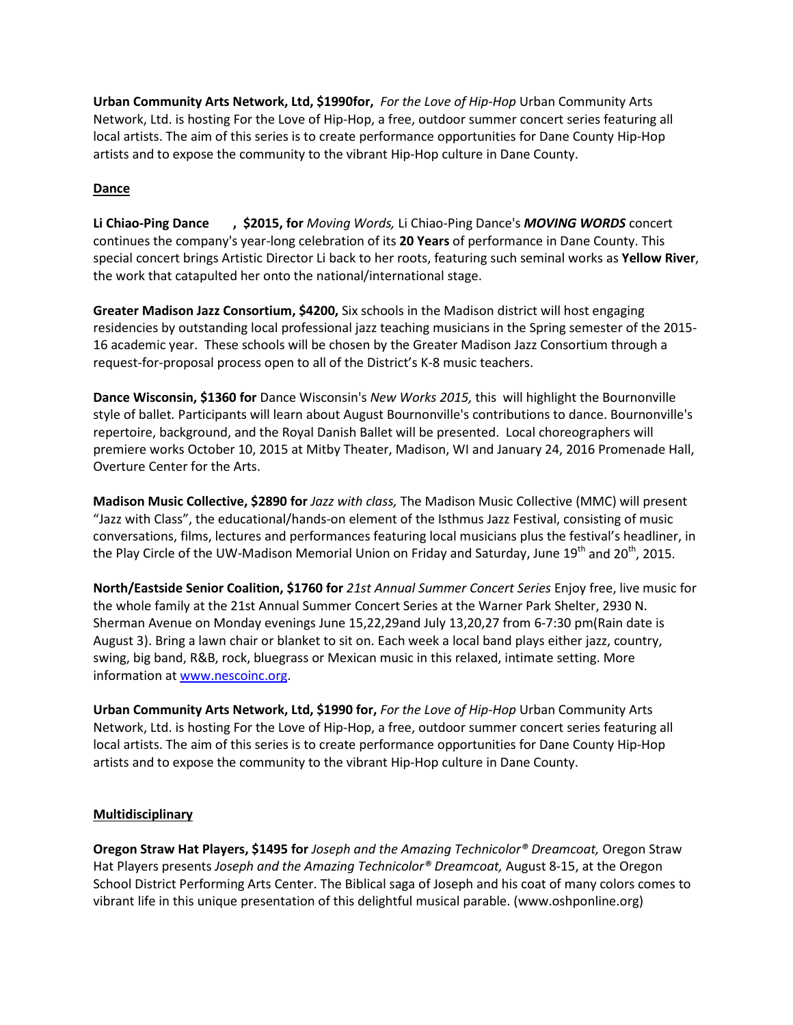**Urban Community Arts Network, Ltd, \$1990for,** *For the Love of Hip-Hop* Urban Community Arts Network, Ltd. is hosting For the Love of Hip-Hop, a free, outdoor summer concert series featuring all local artists. The aim of this series is to create performance opportunities for Dane County Hip-Hop artists and to expose the community to the vibrant Hip-Hop culture in Dane County.

# **Dance**

**Li Chiao-Ping Dance , \$2015, for** *Moving Words,* Li Chiao-Ping Dance's *MOVING WORDS* concert continues the company's year-long celebration of its **20 Years** of performance in Dane County. This special concert brings Artistic Director Li back to her roots, featuring such seminal works as **Yellow River**, the work that catapulted her onto the national/international stage.

**Greater Madison Jazz Consortium, \$4200,** Six schools in the Madison district will host engaging residencies by outstanding local professional jazz teaching musicians in the Spring semester of the 2015- 16 academic year. These schools will be chosen by the Greater Madison Jazz Consortium through a request-for-proposal process open to all of the District's K-8 music teachers.

**Dance Wisconsin, \$1360 for** Dance Wisconsin's *New Works 2015,* thiswill highlight the Bournonville style of ballet*.* Participants will learn about August Bournonville's contributions to dance. Bournonville's repertoire, background, and the Royal Danish Ballet will be presented. Local choreographers will premiere works October 10, 2015 at Mitby Theater, Madison, WI and January 24, 2016 Promenade Hall, Overture Center for the Arts.

**Madison Music Collective, \$2890 for** *Jazz with class,* The Madison Music Collective (MMC) will present "Jazz with Class", the educational/hands-on element of the Isthmus Jazz Festival, consisting of music conversations, films, lectures and performances featuring local musicians plus the festival's headliner, in the Play Circle of the UW-Madison Memorial Union on Friday and Saturday, June 19<sup>th</sup> and 20<sup>th</sup>, 2015.

**North/Eastside Senior Coalition, \$1760 for** *21st Annual Summer Concert Series* Enjoy free, live music for the whole family at the 21st Annual Summer Concert Series at the Warner Park Shelter, 2930 N. Sherman Avenue on Monday evenings June 15,22,29and July 13,20,27 from 6-7:30 pm(Rain date is August 3). Bring a lawn chair or blanket to sit on. Each week a local band plays either jazz, country, swing, big band, R&B, rock, bluegrass or Mexican music in this relaxed, intimate setting. More information at [www.nescoinc.org.](http://www.nescoinc.org/)

**Urban Community Arts Network, Ltd, \$1990 for,** *For the Love of Hip-Hop* Urban Community Arts Network, Ltd. is hosting For the Love of Hip-Hop, a free, outdoor summer concert series featuring all local artists. The aim of this series is to create performance opportunities for Dane County Hip-Hop artists and to expose the community to the vibrant Hip-Hop culture in Dane County.

# **Multidisciplinary**

**Oregon Straw Hat Players, \$1495 for** *Joseph and the Amazing Technicolor® Dreamcoat,* Oregon Straw Hat Players presents *Joseph and the Amazing Technicolor® Dreamcoat,* August 8-15, at the Oregon School District Performing Arts Center. The Biblical saga of Joseph and his coat of many colors comes to vibrant life in this unique presentation of this delightful musical parable. (www.oshponline.org)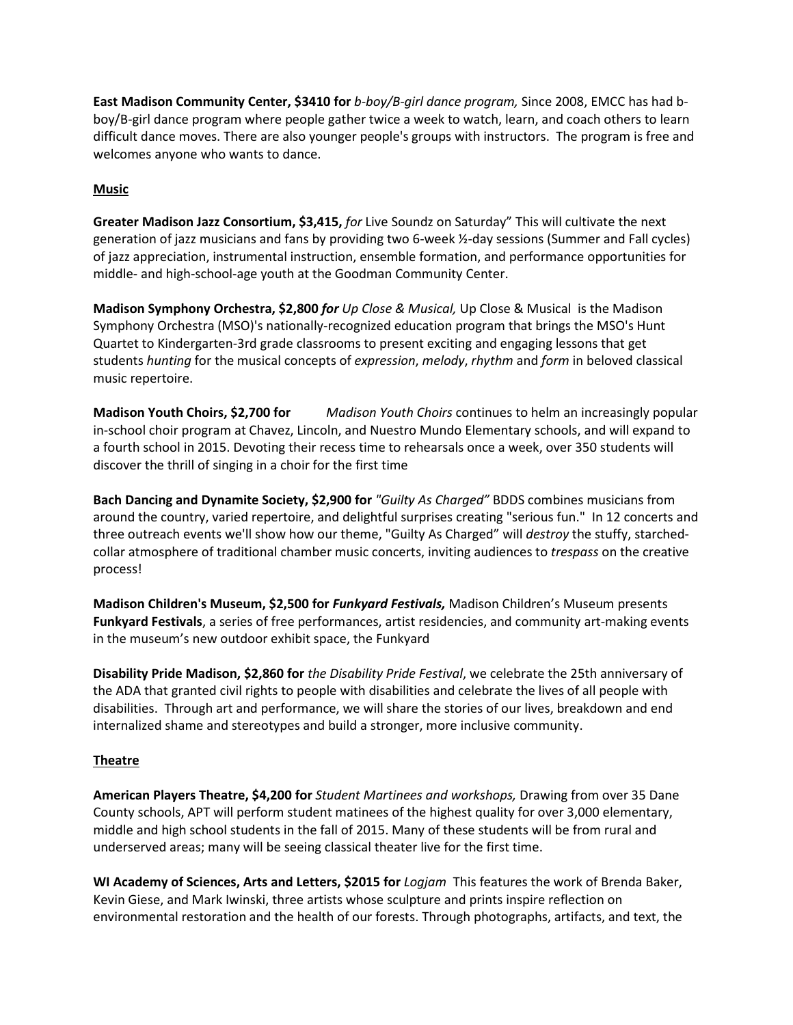**East Madison Community Center, \$3410 for** *b-boy/B-girl dance program,* Since 2008, EMCC has had bboy/B-girl dance program where people gather twice a week to watch, learn, and coach others to learn difficult dance moves. There are also younger people's groups with instructors. The program is free and welcomes anyone who wants to dance.

# **Music**

**Greater Madison Jazz Consortium, \$3,415,** *for* Live Soundz on Saturday" This will cultivate the next generation of jazz musicians and fans by providing two 6-week ½-day sessions (Summer and Fall cycles) of jazz appreciation, instrumental instruction, ensemble formation, and performance opportunities for middle- and high-school-age youth at the Goodman Community Center.

**Madison Symphony Orchestra, \$2,800** *for Up Close & Musical,* Up Close & Musical is the Madison Symphony Orchestra (MSO)'s nationally-recognized education program that brings the MSO's Hunt Quartet to Kindergarten-3rd grade classrooms to present exciting and engaging lessons that get students *hunting* for the musical concepts of *expression*, *melody*, *rhythm* and *form* in beloved classical music repertoire.

**Madison Youth Choirs, \$2,700 for** *Madison Youth Choirs* continues to helm an increasingly popular in-school choir program at Chavez, Lincoln, and Nuestro Mundo Elementary schools, and will expand to a fourth school in 2015. Devoting their recess time to rehearsals once a week, over 350 students will discover the thrill of singing in a choir for the first time

**Bach Dancing and Dynamite Society, \$2,900 for** *"Guilty As Charged"* BDDS combines musicians from around the country, varied repertoire, and delightful surprises creating "serious fun." In 12 concerts and three outreach events we'll show how our theme, "Guilty As Charged" will *destroy* the stuffy, starchedcollar atmosphere of traditional chamber music concerts, inviting audiences to *trespass* on the creative process!

**Madison Children's Museum, \$2,500 for** *Funkyard Festivals,* Madison Children's Museum presents **Funkyard Festivals**, a series of free performances, artist residencies, and community art-making events in the museum's new outdoor exhibit space, the Funkyard

**Disability Pride Madison, \$2,860 for** *the Disability Pride Festival*, we celebrate the 25th anniversary of the ADA that granted civil rights to people with disabilities and celebrate the lives of all people with disabilities. Through art and performance, we will share the stories of our lives, breakdown and end internalized shame and stereotypes and build a stronger, more inclusive community.

# **Theatre**

**American Players Theatre, \$4,200 for** *Student Martinees and workshops,* Drawing from over 35 Dane County schools, APT will perform student matinees of the highest quality for over 3,000 elementary, middle and high school students in the fall of 2015. Many of these students will be from rural and underserved areas; many will be seeing classical theater live for the first time.

**WI Academy of Sciences, Arts and Letters, \$2015 for** *Logjam* This features the work of Brenda Baker, Kevin Giese, and Mark Iwinski, three artists whose sculpture and prints inspire reflection on environmental restoration and the health of our forests. Through photographs, artifacts, and text, the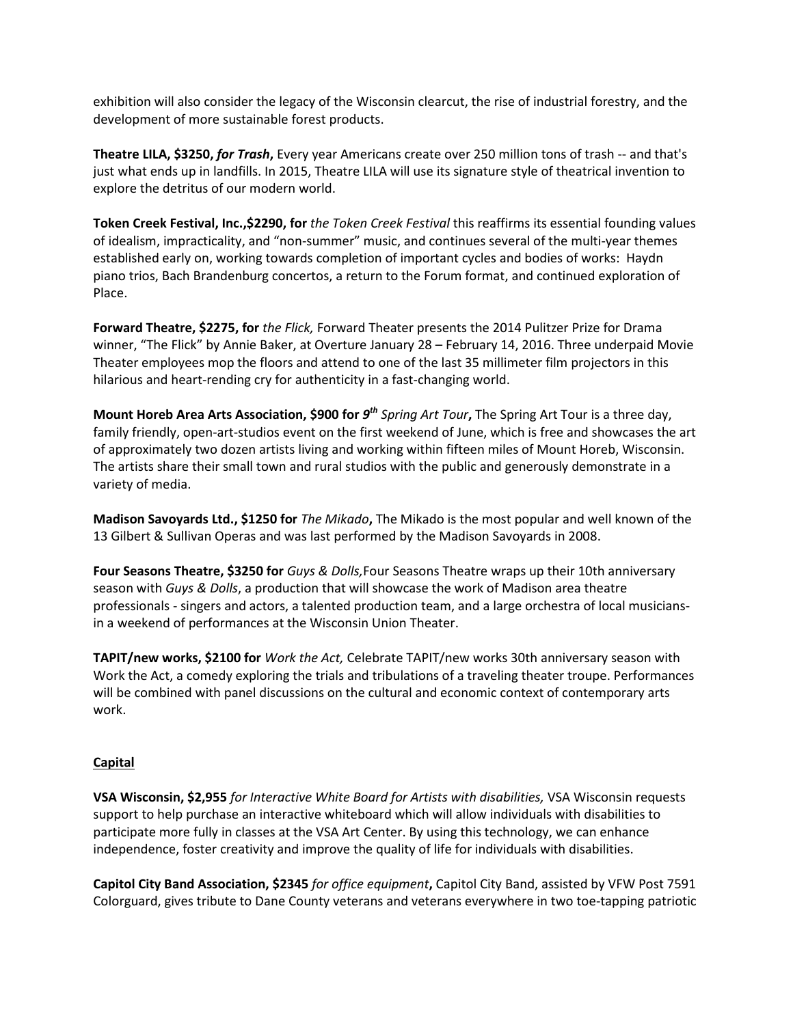exhibition will also consider the legacy of the Wisconsin clearcut, the rise of industrial forestry, and the development of more sustainable forest products.

**Theatre LILA, \$3250,** *for Trash***,** Every year Americans create over 250 million tons of trash -- and that's just what ends up in landfills. In 2015, Theatre LILA will use its signature style of theatrical invention to explore the detritus of our modern world.

**Token Creek Festival, Inc.,\$2290, for** *the Token Creek Festival* this reaffirms its essential founding values of idealism, impracticality, and "non-summer" music, and continues several of the multi-year themes established early on, working towards completion of important cycles and bodies of works: Haydn piano trios, Bach Brandenburg concertos, a return to the Forum format, and continued exploration of Place.

**Forward Theatre, \$2275, for** *the Flick,* Forward Theater presents the 2014 Pulitzer Prize for Drama winner, "The Flick" by Annie Baker, at Overture January 28 – February 14, 2016. Three underpaid Movie Theater employees mop the floors and attend to one of the last 35 millimeter film projectors in this hilarious and heart-rending cry for authenticity in a fast-changing world.

**Mount Horeb Area Arts Association, \$900 for** *9th Spring Art Tour***,** The Spring Art Tour is a three day, family friendly, open-art-studios event on the first weekend of June, which is free and showcases the art of approximately two dozen artists living and working within fifteen miles of Mount Horeb, Wisconsin. The artists share their small town and rural studios with the public and generously demonstrate in a variety of media.

**Madison Savoyards Ltd., \$1250 for** *The Mikado***,** The Mikado is the most popular and well known of the 13 Gilbert & Sullivan Operas and was last performed by the Madison Savoyards in 2008.

**Four Seasons Theatre, \$3250 for** *Guys & Dolls,*Four Seasons Theatre wraps up their 10th anniversary season with *Guys & Dolls*, a production that will showcase the work of Madison area theatre professionals - singers and actors, a talented production team, and a large orchestra of local musiciansin a weekend of performances at the Wisconsin Union Theater.

**TAPIT/new works, \$2100 for** *Work the Act,* Celebrate TAPIT/new works 30th anniversary season with Work the Act, a comedy exploring the trials and tribulations of a traveling theater troupe. Performances will be combined with panel discussions on the cultural and economic context of contemporary arts work.

# **Capital**

**VSA Wisconsin, \$2,955** *for Interactive White Board for Artists with disabilities,* VSA Wisconsin requests support to help purchase an interactive whiteboard which will allow individuals with disabilities to participate more fully in classes at the VSA Art Center. By using this technology, we can enhance independence, foster creativity and improve the quality of life for individuals with disabilities.

**Capitol City Band Association, \$2345** *for office equipment***,** Capitol City Band, assisted by VFW Post 7591 Colorguard, gives tribute to Dane County veterans and veterans everywhere in two toe-tapping patriotic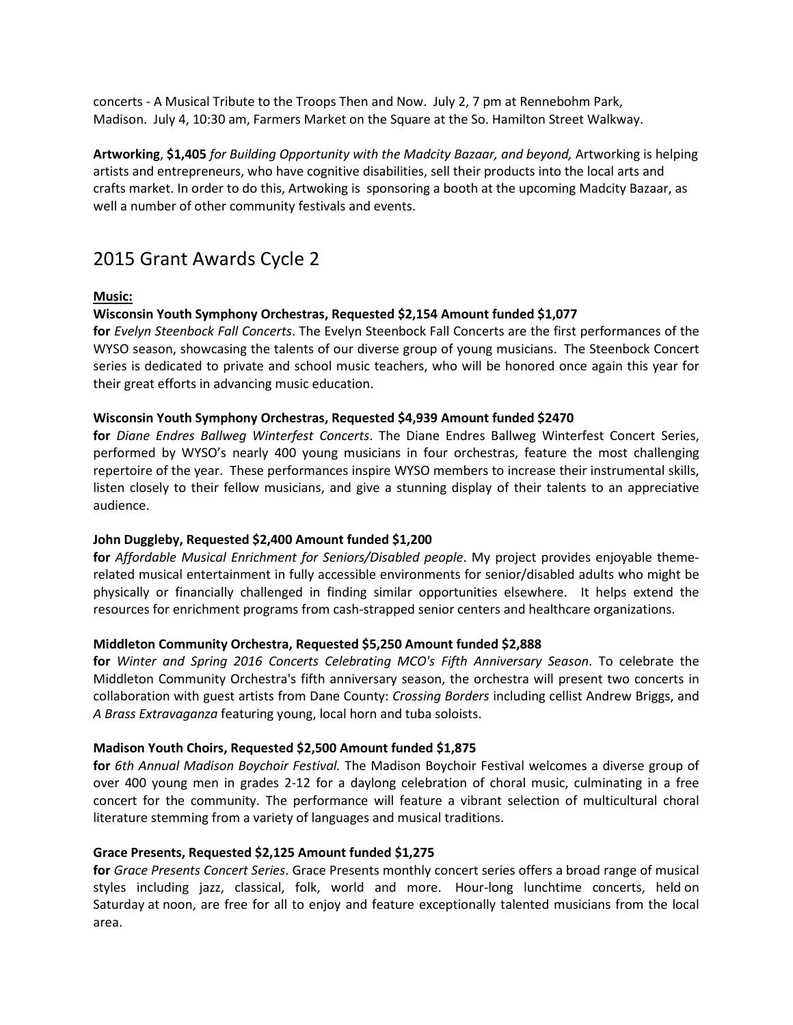concerts - A Musical Tribute to the Troops Then and Now. July 2, 7 pm at Rennebohm Park, Madison. July 4, 10:30 am, Farmers Market on the Square at the So. Hamilton Street Walkway.

**Artworking**, **\$1,405** *for Building Opportunity with the Madcity Bazaar, and beyond,* Artworking is helping artists and entrepreneurs, who have cognitive disabilities, sell their products into the local arts and crafts market. In order to do this, Artwoking is sponsoring a booth at the upcoming Madcity Bazaar, as well a number of other community festivals and events.

# 2015 Grant Awards Cycle 2

# **Music:**

# **Wisconsin Youth Symphony Orchestras, Requested \$2,154 Amount funded \$1,077**

**for** *Evelyn Steenbock Fall Concerts*. The Evelyn Steenbock Fall Concerts are the first performances of the WYSO season, showcasing the talents of our diverse group of young musicians. The Steenbock Concert series is dedicated to private and school music teachers, who will be honored once again this year for their great efforts in advancing music education.

# **Wisconsin Youth Symphony Orchestras, Requested \$4,939 Amount funded \$2470**

**for** *Diane Endres Ballweg Winterfest Concerts*. The Diane Endres Ballweg Winterfest Concert Series, performed by WYSO's nearly 400 young musicians in four orchestras, feature the most challenging repertoire of the year. These performances inspire WYSO members to increase their instrumental skills, listen closely to their fellow musicians, and give a stunning display of their talents to an appreciative audience.

# **John Duggleby, Requested \$2,400 Amount funded \$1,200**

**for** *Affordable Musical Enrichment for Seniors/Disabled people*. My project provides enjoyable themerelated musical entertainment in fully accessible environments for senior/disabled adults who might be physically or financially challenged in finding similar opportunities elsewhere. It helps extend the resources for enrichment programs from cash-strapped senior centers and healthcare organizations.

# **Middleton Community Orchestra, Requested \$5,250 Amount funded \$2,888**

**for** *Winter and Spring 2016 Concerts Celebrating MCO's Fifth Anniversary Season*. To celebrate the Middleton Community Orchestra's fifth anniversary season, the orchestra will present two concerts in collaboration with guest artists from Dane County: *Crossing Borders* including cellist Andrew Briggs, and *A Brass Extravaganza* featuring young, local horn and tuba soloists.

# **Madison Youth Choirs, Requested \$2,500 Amount funded \$1,875**

**for** *6th Annual Madison Boychoir Festival.* The Madison Boychoir Festival welcomes a diverse group of over 400 young men in grades 2-12 for a daylong celebration of choral music, culminating in a free concert for the community. The performance will feature a vibrant selection of multicultural choral literature stemming from a variety of languages and musical traditions.

# **Grace Presents, Requested \$2,125 Amount funded \$1,275**

**for** *Grace Presents Concert Series*. Grace Presents monthly concert series offers a broad range of musical styles including jazz, classical, folk, world and more. Hour-long lunchtime concerts, held on Saturday at noon, are free for all to enjoy and feature exceptionally talented musicians from the local area.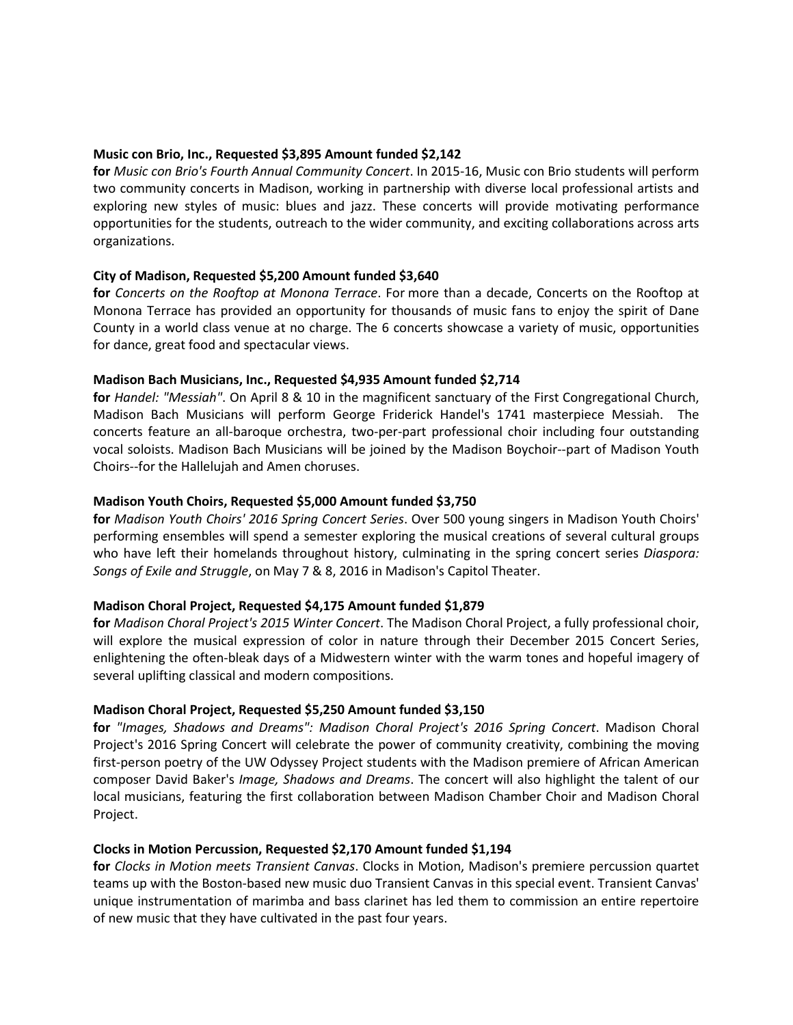#### **Music con Brio, Inc., Requested \$3,895 Amount funded \$2,142**

**for** *Music con Brio's Fourth Annual Community Concert*. In 2015-16, Music con Brio students will perform two community concerts in Madison, working in partnership with diverse local professional artists and exploring new styles of music: blues and jazz. These concerts will provide motivating performance opportunities for the students, outreach to the wider community, and exciting collaborations across arts organizations.

# **City of Madison, Requested \$5,200 Amount funded \$3,640**

**for** *Concerts on the Rooftop at Monona Terrace*. For more than a decade, Concerts on the Rooftop at Monona Terrace has provided an opportunity for thousands of music fans to enjoy the spirit of Dane County in a world class venue at no charge. The 6 concerts showcase a variety of music, opportunities for dance, great food and spectacular views.

# **Madison Bach Musicians, Inc., Requested \$4,935 Amount funded \$2,714**

**for** *Handel: "Messiah"*. On April 8 & 10 in the magnificent sanctuary of the First Congregational Church, Madison Bach Musicians will perform George Friderick Handel's 1741 masterpiece Messiah. The concerts feature an all-baroque orchestra, two-per-part professional choir including four outstanding vocal soloists. Madison Bach Musicians will be joined by the Madison Boychoir--part of Madison Youth Choirs--for the Hallelujah and Amen choruses.

# **Madison Youth Choirs, Requested \$5,000 Amount funded \$3,750**

**for** *Madison Youth Choirs' 2016 Spring Concert Series*. Over 500 young singers in Madison Youth Choirs' performing ensembles will spend a semester exploring the musical creations of several cultural groups who have left their homelands throughout history, culminating in the spring concert series *Diaspora: Songs of Exile and Struggle*, on May 7 & 8, 2016 in Madison's Capitol Theater.

# **Madison Choral Project, Requested \$4,175 Amount funded \$1,879**

**for** *Madison Choral Project's 2015 Winter Concert*. The Madison Choral Project, a fully professional choir, will explore the musical expression of color in nature through their December 2015 Concert Series, enlightening the often-bleak days of a Midwestern winter with the warm tones and hopeful imagery of several uplifting classical and modern compositions.

# **Madison Choral Project, Requested \$5,250 Amount funded \$3,150**

**for** *"Images, Shadows and Dreams": Madison Choral Project's 2016 Spring Concert*. Madison Choral Project's 2016 Spring Concert will celebrate the power of community creativity, combining the moving first-person poetry of the UW Odyssey Project students with the Madison premiere of African American composer David Baker's *Image, Shadows and Dreams*. The concert will also highlight the talent of our local musicians, featuring the first collaboration between Madison Chamber Choir and Madison Choral Project.

# **Clocks in Motion Percussion, Requested \$2,170 Amount funded \$1,194**

**for** *Clocks in Motion meets Transient Canvas*. Clocks in Motion, Madison's premiere percussion quartet teams up with the Boston-based new music duo Transient Canvas in this special event. Transient Canvas' unique instrumentation of marimba and bass clarinet has led them to commission an entire repertoire of new music that they have cultivated in the past four years.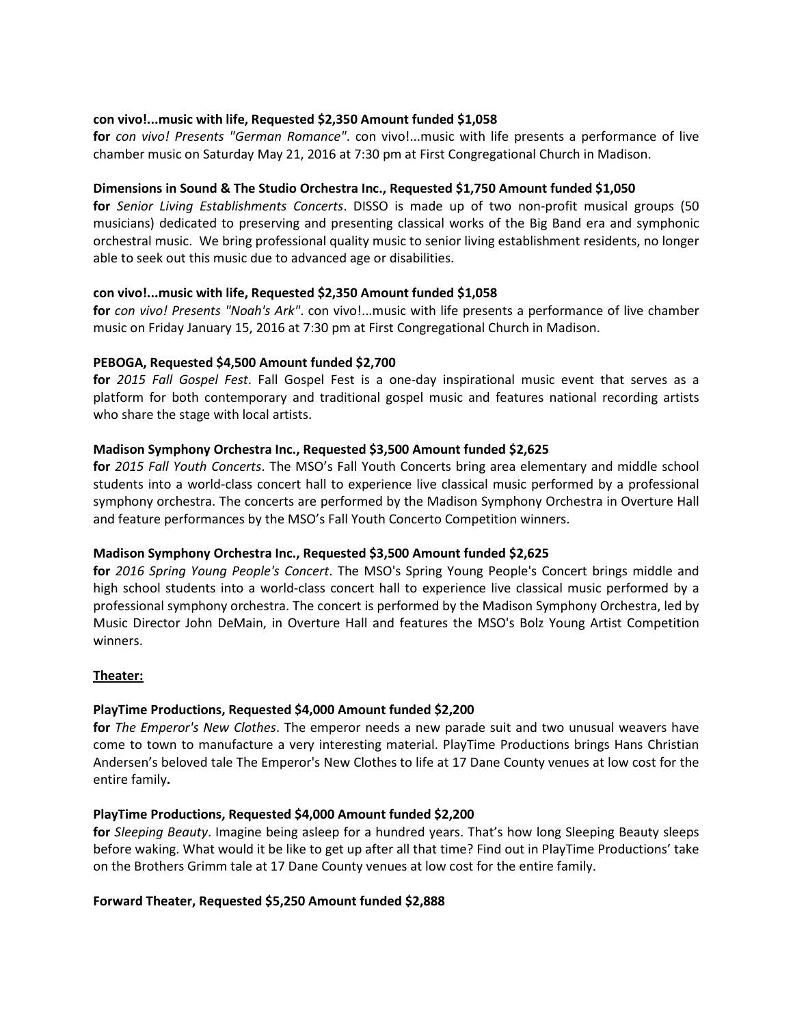# **con vivo!...music with life, Requested \$2,350 Amount funded \$1,058**

**for** *con vivo! Presents "German Romance"*. con vivo!...music with life presents a performance of live chamber music on Saturday May 21, 2016 at 7:30 pm at First Congregational Church in Madison.

#### **Dimensions in Sound & The Studio Orchestra Inc., Requested \$1,750 Amount funded \$1,050**

**for** *Senior Living Establishments Concerts*. DISSO is made up of two non-profit musical groups (50 musicians) dedicated to preserving and presenting classical works of the Big Band era and symphonic orchestral music. We bring professional quality music to senior living establishment residents, no longer able to seek out this music due to advanced age or disabilities.

#### **con vivo!...music with life, Requested \$2,350 Amount funded \$1,058**

**for** *con vivo! Presents "Noah's Ark"*. con vivo!...music with life presents a performance of live chamber music on Friday January 15, 2016 at 7:30 pm at First Congregational Church in Madison.

#### **PEBOGA, Requested \$4,500 Amount funded \$2,700**

**for** *2015 Fall Gospel Fest*. Fall Gospel Fest is a one-day inspirational music event that serves as a platform for both contemporary and traditional gospel music and features national recording artists who share the stage with local artists.

#### **Madison Symphony Orchestra Inc., Requested \$3,500 Amount funded \$2,625**

**for** *2015 Fall Youth Concerts*. The MSO's Fall Youth Concerts bring area elementary and middle school students into a world-class concert hall to experience live classical music performed by a professional symphony orchestra. The concerts are performed by the Madison Symphony Orchestra in Overture Hall and feature performances by the MSO's Fall Youth Concerto Competition winners.

#### **Madison Symphony Orchestra Inc., Requested \$3,500 Amount funded \$2,625**

**for** *2016 Spring Young People's Concert*. The MSO's Spring Young People's Concert brings middle and high school students into a world-class concert hall to experience live classical music performed by a professional symphony orchestra. The concert is performed by the Madison Symphony Orchestra, led by Music Director John DeMain, in Overture Hall and features the MSO's Bolz Young Artist Competition winners.

# **Theater:**

# **PlayTime Productions, Requested \$4,000 Amount funded \$2,200**

**for** *The Emperor's New Clothes*. The emperor needs a new parade suit and two unusual weavers have come to town to manufacture a very interesting material. PlayTime Productions brings Hans Christian Andersen's beloved tale The Emperor's New Clothes to life at 17 Dane County venues at low cost for the entire family**.**

#### **PlayTime Productions, Requested \$4,000 Amount funded \$2,200**

**for** *Sleeping Beauty*. Imagine being asleep for a hundred years. That's how long Sleeping Beauty sleeps before waking. What would it be like to get up after all that time? Find out in PlayTime Productions' take on the Brothers Grimm tale at 17 Dane County venues at low cost for the entire family.

#### **Forward Theater, Requested \$5,250 Amount funded \$2,888**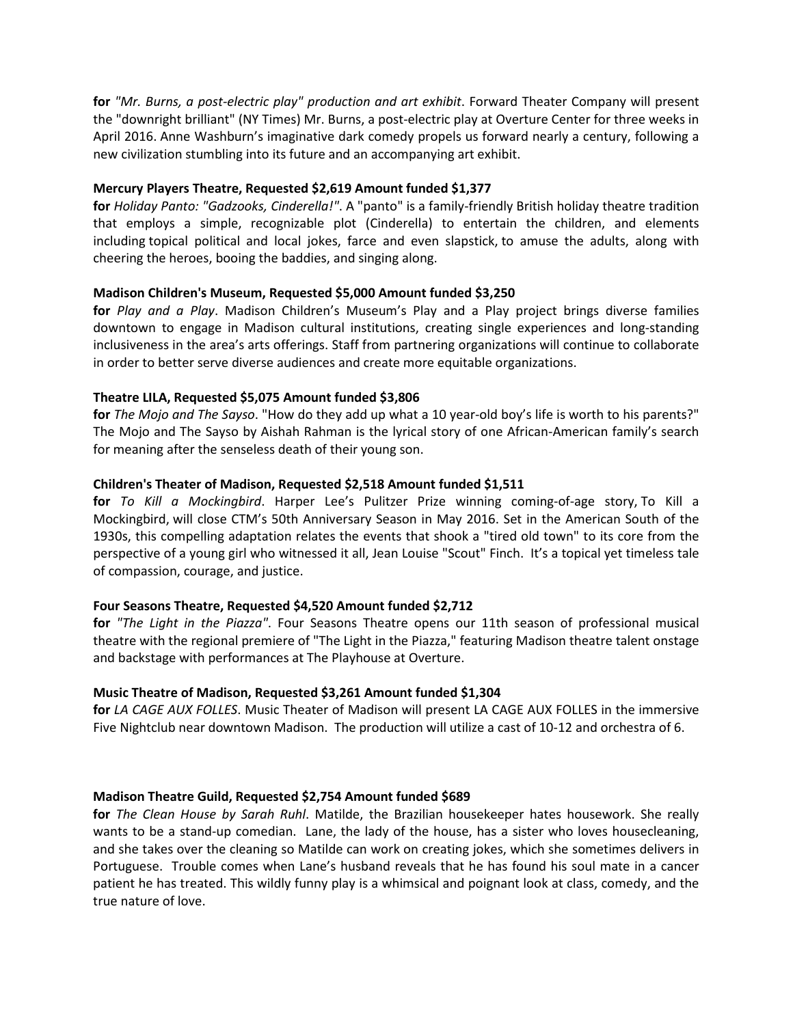**for** *"Mr. Burns, a post-electric play" production and art exhibit*. Forward Theater Company will present the "downright brilliant" (NY Times) Mr. Burns, a post-electric play at Overture Center for three weeks in April 2016. Anne Washburn's imaginative dark comedy propels us forward nearly a century, following a new civilization stumbling into its future and an accompanying art exhibit.

# **Mercury Players Theatre, Requested \$2,619 Amount funded \$1,377**

**for** *Holiday Panto: "Gadzooks, Cinderella!"*. A "panto" is a family-friendly British holiday theatre tradition that employs a simple, recognizable plot (Cinderella) to entertain the children, and elements including topical political and local jokes, farce and even slapstick, to amuse the adults, along with cheering the heroes, booing the baddies, and singing along.

# **Madison Children's Museum, Requested \$5,000 Amount funded \$3,250**

**for** *Play and a Play*. Madison Children's Museum's Play and a Play project brings diverse families downtown to engage in Madison cultural institutions, creating single experiences and long-standing inclusiveness in the area's arts offerings. Staff from partnering organizations will continue to collaborate in order to better serve diverse audiences and create more equitable organizations.

# **Theatre LILA, Requested \$5,075 Amount funded \$3,806**

**for** *The Mojo and The Sayso*. "How do they add up what a 10 year-old boy's life is worth to his parents?" The Mojo and The Sayso by Aishah Rahman is the lyrical story of one African-American family's search for meaning after the senseless death of their young son.

# **Children's Theater of Madison, Requested \$2,518 Amount funded \$1,511**

**for** *To Kill a Mockingbird*. Harper Lee's Pulitzer Prize winning coming-of-age story, To Kill a Mockingbird, will close CTM's 50th Anniversary Season in May 2016. Set in the American South of the 1930s, this compelling adaptation relates the events that shook a "tired old town" to its core from the perspective of a young girl who witnessed it all, Jean Louise "Scout" Finch. It's a topical yet timeless tale of compassion, courage, and justice.

# **Four Seasons Theatre, Requested \$4,520 Amount funded \$2,712**

**for** *"The Light in the Piazza"*. Four Seasons Theatre opens our 11th season of professional musical theatre with the regional premiere of "The Light in the Piazza," featuring Madison theatre talent onstage and backstage with performances at The Playhouse at Overture.

# **Music Theatre of Madison, Requested \$3,261 Amount funded \$1,304**

**for** *LA CAGE AUX FOLLES*. Music Theater of Madison will present LA CAGE AUX FOLLES in the immersive Five Nightclub near downtown Madison. The production will utilize a cast of 10-12 and orchestra of 6.

# **Madison Theatre Guild, Requested \$2,754 Amount funded \$689**

**for** *The Clean House by Sarah Ruhl*. Matilde, the Brazilian housekeeper hates housework. She really wants to be a stand-up comedian. Lane, the lady of the house, has a sister who loves housecleaning, and she takes over the cleaning so Matilde can work on creating jokes, which she sometimes delivers in Portuguese. Trouble comes when Lane's husband reveals that he has found his soul mate in a cancer patient he has treated. This wildly funny play is a whimsical and poignant look at class, comedy, and the true nature of love.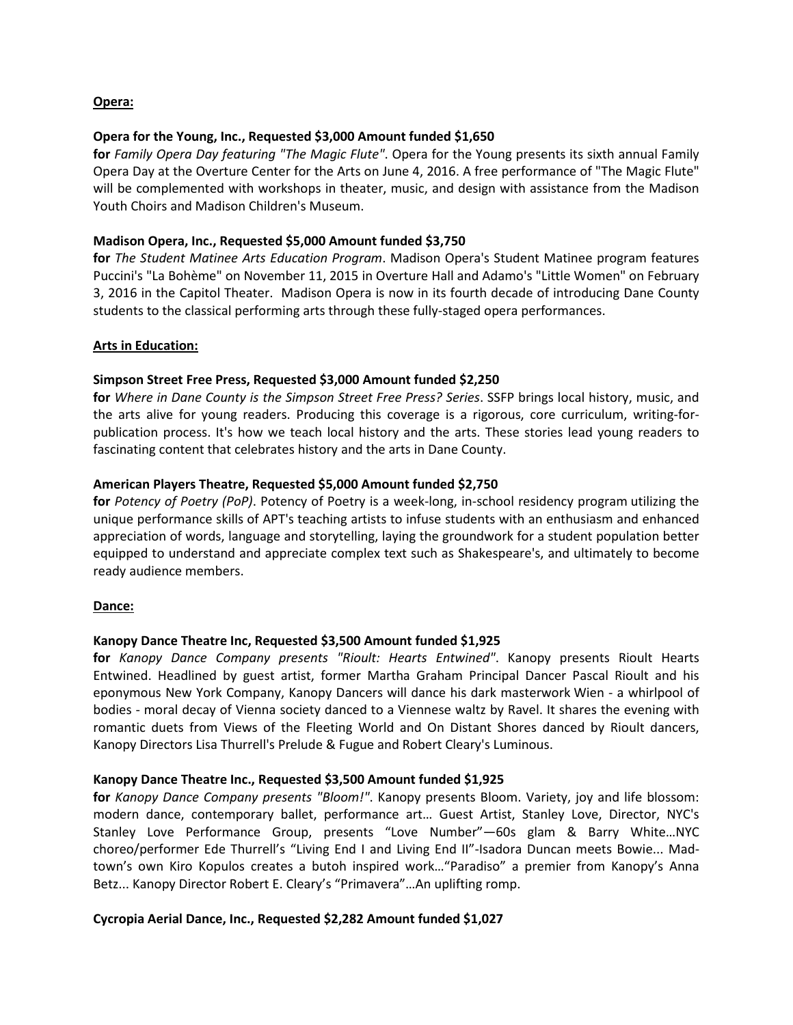#### **Opera:**

#### **Opera for the Young, Inc., Requested \$3,000 Amount funded \$1,650**

**for** *Family Opera Day featuring "The Magic Flute"*. Opera for the Young presents its sixth annual Family Opera Day at the Overture Center for the Arts on June 4, 2016. A free performance of "The Magic Flute" will be complemented with workshops in theater, music, and design with assistance from the Madison Youth Choirs and Madison Children's Museum.

#### **Madison Opera, Inc., Requested \$5,000 Amount funded \$3,750**

**for** *The Student Matinee Arts Education Program*. Madison Opera's Student Matinee program features Puccini's "La Bohème" on November 11, 2015 in Overture Hall and Adamo's "Little Women" on February 3, 2016 in the Capitol Theater. Madison Opera is now in its fourth decade of introducing Dane County students to the classical performing arts through these fully-staged opera performances.

#### **Arts in Education:**

#### **Simpson Street Free Press, Requested \$3,000 Amount funded \$2,250**

**for** *Where in Dane County is the Simpson Street Free Press? Series*. SSFP brings local history, music, and the arts alive for young readers. Producing this coverage is a rigorous, core curriculum, writing-forpublication process. It's how we teach local history and the arts. These stories lead young readers to fascinating content that celebrates history and the arts in Dane County.

#### **American Players Theatre, Requested \$5,000 Amount funded \$2,750**

**for** *Potency of Poetry (PoP)*. Potency of Poetry is a week-long, in-school residency program utilizing the unique performance skills of APT's teaching artists to infuse students with an enthusiasm and enhanced appreciation of words, language and storytelling, laying the groundwork for a student population better equipped to understand and appreciate complex text such as Shakespeare's, and ultimately to become ready audience members.

#### **Dance:**

#### **Kanopy Dance Theatre Inc, Requested \$3,500 Amount funded \$1,925**

**for** *Kanopy Dance Company presents "Rioult: Hearts Entwined"*. Kanopy presents Rioult Hearts Entwined. Headlined by guest artist, former Martha Graham Principal Dancer Pascal Rioult and his eponymous New York Company, Kanopy Dancers will dance his dark masterwork Wien - a whirlpool of bodies - moral decay of Vienna society danced to a Viennese waltz by Ravel. It shares the evening with romantic duets from Views of the Fleeting World and On Distant Shores danced by Rioult dancers, Kanopy Directors Lisa Thurrell's Prelude & Fugue and Robert Cleary's Luminous.

#### **Kanopy Dance Theatre Inc., Requested \$3,500 Amount funded \$1,925**

**for** *Kanopy Dance Company presents "Bloom!"*. Kanopy presents Bloom. Variety, joy and life blossom: modern dance, contemporary ballet, performance art… Guest Artist, Stanley Love, Director, NYC's Stanley Love Performance Group, presents "Love Number"—60s glam & Barry White…NYC choreo/performer Ede Thurrell's "Living End I and Living End II"-Isadora Duncan meets Bowie... Madtown's own Kiro Kopulos creates a butoh inspired work…"Paradiso" a premier from Kanopy's Anna Betz... Kanopy Director Robert E. Cleary's "Primavera"…An uplifting romp.

# **Cycropia Aerial Dance, Inc., Requested \$2,282 Amount funded \$1,027**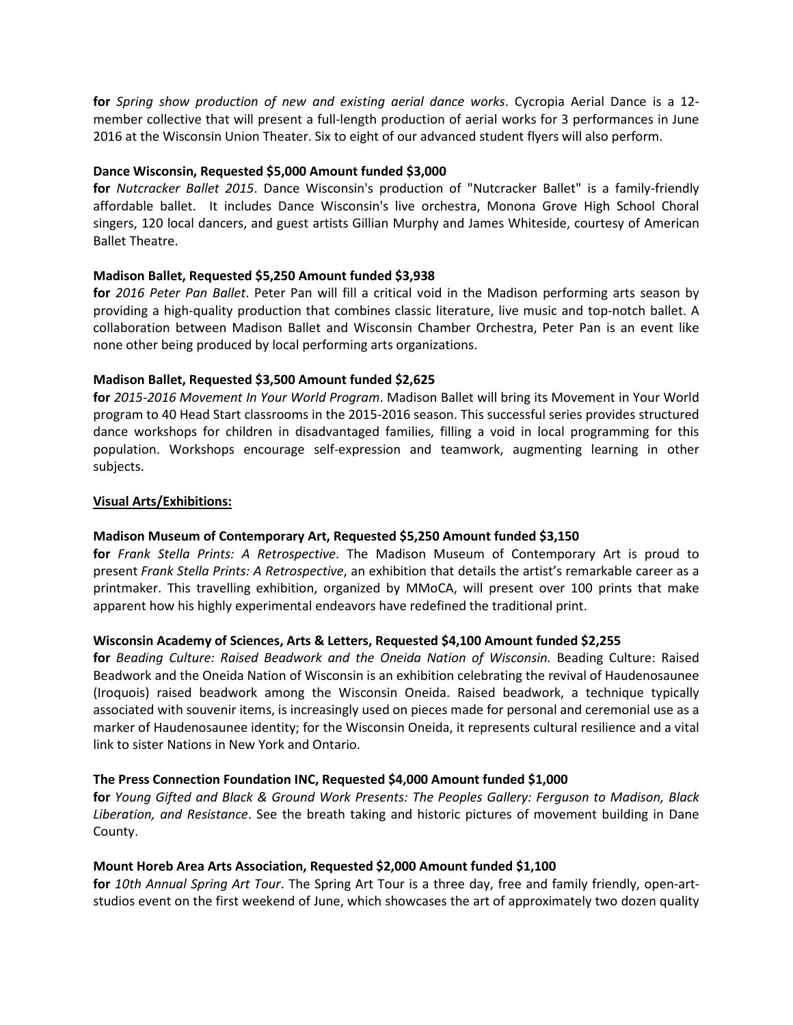**for** *Spring show production of new and existing aerial dance works*. Cycropia Aerial Dance is a 12 member collective that will present a full-length production of aerial works for 3 performances in June 2016 at the Wisconsin Union Theater. Six to eight of our advanced student flyers will also perform.

#### **Dance Wisconsin, Requested \$5,000 Amount funded \$3,000**

**for** *Nutcracker Ballet 2015*. Dance Wisconsin's production of "Nutcracker Ballet" is a family-friendly affordable ballet. It includes Dance Wisconsin's live orchestra, Monona Grove High School Choral singers, 120 local dancers, and guest artists Gillian Murphy and James Whiteside, courtesy of American Ballet Theatre.

#### **Madison Ballet, Requested \$5,250 Amount funded \$3,938**

**for** *2016 Peter Pan Ballet*. Peter Pan will fill a critical void in the Madison performing arts season by providing a high-quality production that combines classic literature, live music and top-notch ballet. A collaboration between Madison Ballet and Wisconsin Chamber Orchestra, Peter Pan is an event like none other being produced by local performing arts organizations.

#### **Madison Ballet, Requested \$3,500 Amount funded \$2,625**

**for** *2015-2016 Movement In Your World Program*. Madison Ballet will bring its Movement in Your World program to 40 Head Start classrooms in the 2015-2016 season. This successful series provides structured dance workshops for children in disadvantaged families, filling a void in local programming for this population. Workshops encourage self-expression and teamwork, augmenting learning in other subjects.

#### **Visual Arts/Exhibitions:**

# **Madison Museum of Contemporary Art, Requested \$5,250 Amount funded \$3,150**

**for** *Frank Stella Prints: A Retrospective*. The Madison Museum of Contemporary Art is proud to present *Frank Stella Prints: A Retrospective*, an exhibition that details the artist's remarkable career as a printmaker. This travelling exhibition, organized by MMoCA, will present over 100 prints that make apparent how his highly experimental endeavors have redefined the traditional print.

#### **Wisconsin Academy of Sciences, Arts & Letters, Requested \$4,100 Amount funded \$2,255**

**for** *Beading Culture: Raised Beadwork and the Oneida Nation of Wisconsin.* Beading Culture: Raised Beadwork and the Oneida Nation of Wisconsin is an exhibition celebrating the revival of Haudenosaunee (Iroquois) raised beadwork among the Wisconsin Oneida. Raised beadwork, a technique typically associated with souvenir items, is increasingly used on pieces made for personal and ceremonial use as a marker of Haudenosaunee identity; for the Wisconsin Oneida, it represents cultural resilience and a vital link to sister Nations in New York and Ontario.

# **The Press Connection Foundation INC, Requested \$4,000 Amount funded \$1,000**

**for** *Young Gifted and Black & Ground Work Presents: The Peoples Gallery: Ferguson to Madison, Black Liberation, and Resistance*. See the breath taking and historic pictures of movement building in Dane County.

#### **Mount Horeb Area Arts Association, Requested \$2,000 Amount funded \$1,100**

**for** *10th Annual Spring Art Tour*. The Spring Art Tour is a three day, free and family friendly, open-artstudios event on the first weekend of June, which showcases the art of approximately two dozen quality